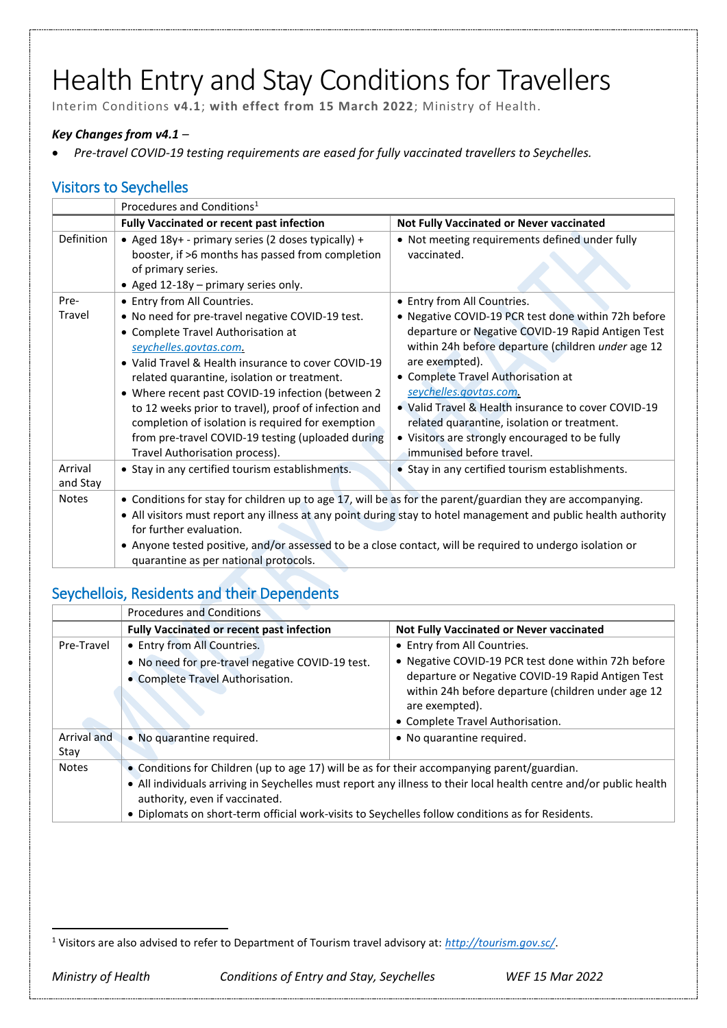# Health Entry and Stay Conditions for Travellers

Interim Conditions **v4.1**; **with effect from 15 March 2022**; Ministry of Health.

#### *Key Changes from v4.1 –*

*Pre-travel COVID-19 testing requirements are eased for fully vaccinated travellers to Seychelles.*

### Visitors to Seychelles

|                     | Procedures and Conditions <sup>1</sup>                                                                                                                                                                                                                                                                                                                                                                                                                                          |                                                                                                                                                                                                                                                                                                                                                                                                                                      |
|---------------------|---------------------------------------------------------------------------------------------------------------------------------------------------------------------------------------------------------------------------------------------------------------------------------------------------------------------------------------------------------------------------------------------------------------------------------------------------------------------------------|--------------------------------------------------------------------------------------------------------------------------------------------------------------------------------------------------------------------------------------------------------------------------------------------------------------------------------------------------------------------------------------------------------------------------------------|
|                     | <b>Fully Vaccinated or recent past infection</b>                                                                                                                                                                                                                                                                                                                                                                                                                                | Not Fully Vaccinated or Never vaccinated                                                                                                                                                                                                                                                                                                                                                                                             |
| Definition          | • Aged 18y+ - primary series (2 doses typically) +<br>booster, if >6 months has passed from completion<br>of primary series.<br>• Aged 12-18y - primary series only.                                                                                                                                                                                                                                                                                                            | • Not meeting requirements defined under fully<br>vaccinated.                                                                                                                                                                                                                                                                                                                                                                        |
| Pre-                | • Entry from All Countries.                                                                                                                                                                                                                                                                                                                                                                                                                                                     | • Entry from All Countries.                                                                                                                                                                                                                                                                                                                                                                                                          |
| Travel              | . No need for pre-travel negative COVID-19 test.<br>• Complete Travel Authorisation at<br>seychelles.govtas.com.<br>• Valid Travel & Health insurance to cover COVID-19<br>related quarantine, isolation or treatment.<br>• Where recent past COVID-19 infection (between 2<br>to 12 weeks prior to travel), proof of infection and<br>completion of isolation is required for exemption<br>from pre-travel COVID-19 testing (uploaded during<br>Travel Authorisation process). | • Negative COVID-19 PCR test done within 72h before<br>departure or Negative COVID-19 Rapid Antigen Test<br>within 24h before departure (children under age 12<br>are exempted).<br>• Complete Travel Authorisation at<br>seychelles.govtas.com.<br>• Valid Travel & Health insurance to cover COVID-19<br>related quarantine, isolation or treatment.<br>• Visitors are strongly encouraged to be fully<br>immunised before travel. |
| Arrival<br>and Stay | • Stay in any certified tourism establishments.                                                                                                                                                                                                                                                                                                                                                                                                                                 | • Stay in any certified tourism establishments.                                                                                                                                                                                                                                                                                                                                                                                      |
| <b>Notes</b>        | • Conditions for stay for children up to age 17, will be as for the parent/guardian they are accompanying.<br>• All visitors must report any illness at any point during stay to hotel management and public health authority<br>for further evaluation.<br>• Anyone tested positive, and/or assessed to be a close contact, will be required to undergo isolation or<br>quarantine as per national protocols.                                                                  |                                                                                                                                                                                                                                                                                                                                                                                                                                      |

## Seychellois, Residents and their Dependents

|                     | <b>Procedures and Conditions</b>                                                                                                                                                                                                                                                                                                                        |                                                                                                                                                                                                                                                     |
|---------------------|---------------------------------------------------------------------------------------------------------------------------------------------------------------------------------------------------------------------------------------------------------------------------------------------------------------------------------------------------------|-----------------------------------------------------------------------------------------------------------------------------------------------------------------------------------------------------------------------------------------------------|
|                     | <b>Fully Vaccinated or recent past infection</b>                                                                                                                                                                                                                                                                                                        | Not Fully Vaccinated or Never vaccinated                                                                                                                                                                                                            |
| Pre-Travel          | • Entry from All Countries.<br>. No need for pre-travel negative COVID-19 test.<br>• Complete Travel Authorisation.                                                                                                                                                                                                                                     | • Entry from All Countries.<br>• Negative COVID-19 PCR test done within 72h before<br>departure or Negative COVID-19 Rapid Antigen Test<br>within 24h before departure (children under age 12<br>are exempted).<br>• Complete Travel Authorisation. |
| Arrival and<br>Stay | • No quarantine required.                                                                                                                                                                                                                                                                                                                               | • No quarantine required.                                                                                                                                                                                                                           |
| <b>Notes</b>        | • Conditions for Children (up to age 17) will be as for their accompanying parent/guardian.<br>. All individuals arriving in Seychelles must report any illness to their local health centre and/or public health<br>authority, even if vaccinated.<br>• Diplomats on short-term official work-visits to Seychelles follow conditions as for Residents. |                                                                                                                                                                                                                                                     |

 $\overline{a}$ <sup>1</sup> Visitors are also advised to refer to Department of Tourism travel advisory at: *<http://tourism.gov.sc/>*[.](http://tourism.gov.sc/)